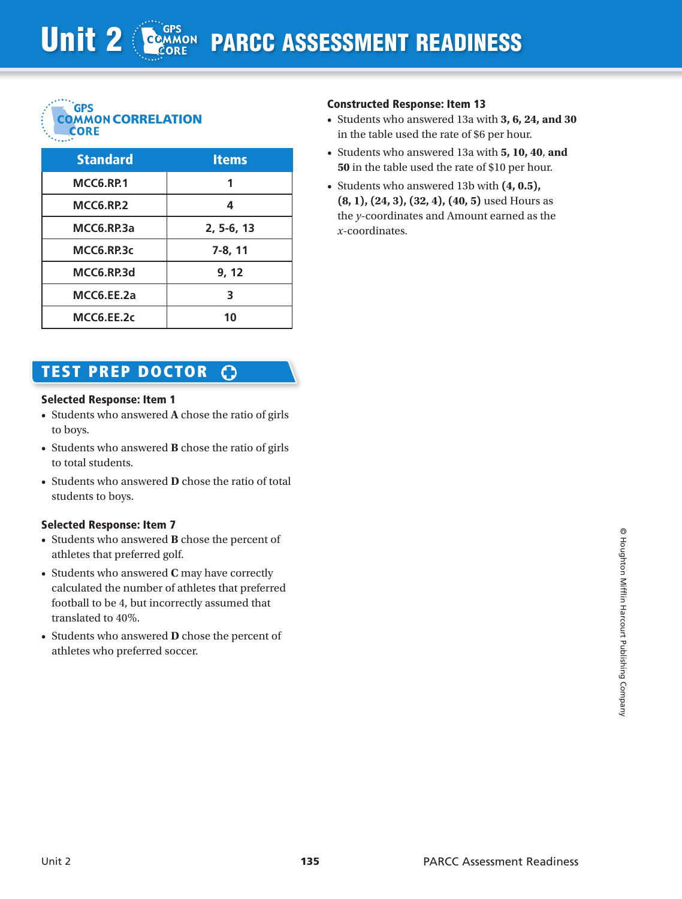

| <b>Standard</b>  | <b>Items</b> |
|------------------|--------------|
| <b>MCC6.RP.1</b> |              |
| MCC6.RP.2        | 4            |
| MCC6.RP.3a       | $2, 5-6, 13$ |
| MCC6.RP.3c       | 7-8, 11      |
| MCC6.RP.3d       | 9, 12        |
| MCC6.EE.2a       | 3            |
| MCC6.EE.2c       | 10           |

## TEST prep doctor - റ

## Selected Response: Item 1

- • Students who answered **A** chose the ratio of girls to boys.
- • Students who answered **B** chose the ratio of girls to total students.
- Students who answered **D** chose the ratio of total students to boys.

## Selected Response: Item 7

- • Students who answered **B** chose the percent of athletes that preferred golf.
- • Students who answered **C** may have correctly calculated the number of athletes that preferred football to be 4, but incorrectly assumed that translated to 40%.
- • Students who answered **D** chose the percent of athletes who preferred soccer.

## Constructed Response: Item 13

- • Students who answered 13a with **3, 6, 24, and 30** in the table used the rate of \$6 per hour.
- • Students who answered 13a with **5, 10, 40**, **and 50** in the table used the rate of \$10 per hour.
- • Students who answered 13b with **(4, 0.5), (8, 1), (24, 3), (32, 4), (40, 5)** used Hours as the *y*-coordinates and Amount earned as the *x*-coordinates.